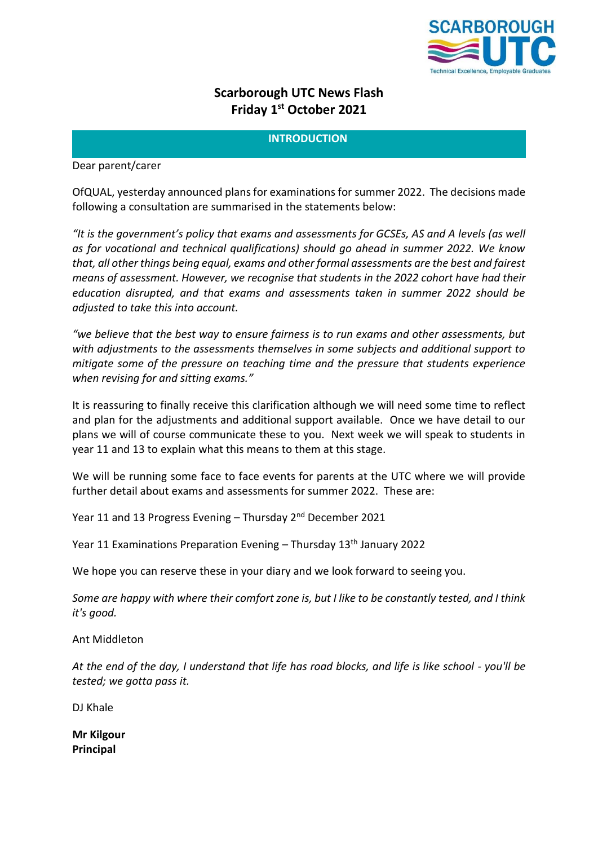

# **Scarborough UTC News Flash Friday 1 st October 2021**

# **INTRODUCTION**

Dear parent/carer

OfQUAL, yesterday announced plans for examinations for summer 2022. The decisions made following a consultation are summarised in the statements below:

*"It is the government's policy that exams and assessments for GCSEs, AS and A levels (as well as for vocational and technical qualifications) should go ahead in summer 2022. We know that, all other things being equal, exams and other formal assessments are the best and fairest means of assessment. However, we recognise that students in the 2022 cohort have had their education disrupted, and that exams and assessments taken in summer 2022 should be adjusted to take this into account.*

*"we believe that the best way to ensure fairness is to run exams and other assessments, but with adjustments to the assessments themselves in some subjects and additional support to mitigate some of the pressure on teaching time and the pressure that students experience when revising for and sitting exams."*

It is reassuring to finally receive this clarification although we will need some time to reflect and plan for the adjustments and additional support available. Once we have detail to our plans we will of course communicate these to you. Next week we will speak to students in year 11 and 13 to explain what this means to them at this stage.

We will be running some face to face events for parents at the UTC where we will provide further detail about exams and assessments for summer 2022. These are:

Year 11 and 13 Progress Evening – Thursday 2nd December 2021

Year 11 Examinations Preparation Evening  $-$  Thursday 13<sup>th</sup> January 2022

We hope you can reserve these in your diary and we look forward to seeing you.

*Some are happy with where their comfort zone is, but I like to be constantly tested, and I think it's good.*

[Ant Middleton](https://www.brainyquote.com/authors/ant-middleton-quotes)

*At the end of the day, I understand that life has road blocks, and life is like school - you'll be tested; we gotta pass it.*

DJ Khale

**Mr Kilgour Principal**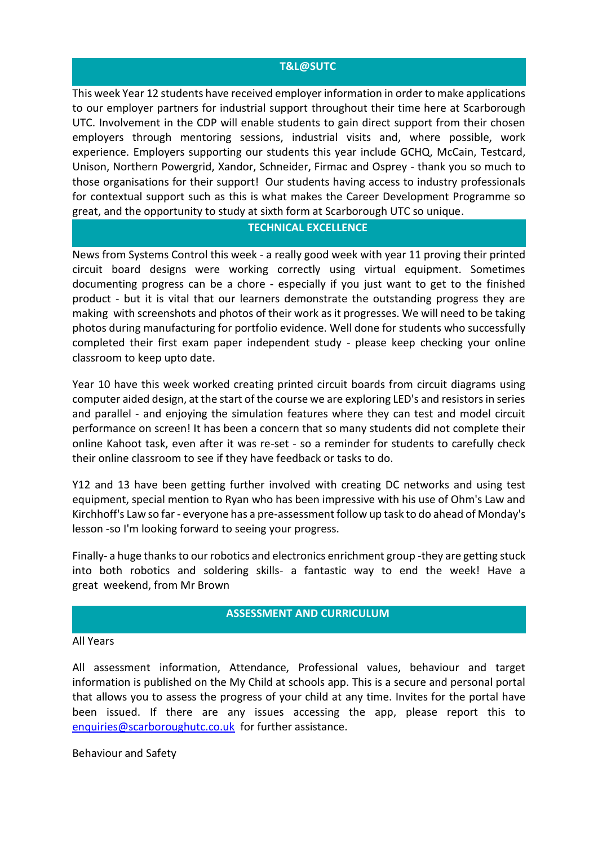# **T&L@SUTC**

This week Year 12 students have received employer information in order to make applications to our employer partners for industrial support throughout their time here at Scarborough UTC. Involvement in the CDP will enable students to gain direct support from their chosen employers through mentoring sessions, industrial visits and, where possible, work experience. Employers supporting our students this year include GCHQ, McCain, Testcard, Unison, Northern Powergrid, Xandor, Schneider, Firmac and Osprey - thank you so much to those organisations for their support! Our students having access to industry professionals for contextual support such as this is what makes the Career Development Programme so great, and the opportunity to study at sixth form at Scarborough UTC so unique.

# **TECHNICAL EXCELLENCE**

News from Systems Control this week - a really good week with year 11 proving their printed circuit board designs were working correctly using virtual equipment. Sometimes documenting progress can be a chore - especially if you just want to get to the finished product - but it is vital that our learners demonstrate the outstanding progress they are making with screenshots and photos of their work as it progresses. We will need to be taking photos during manufacturing for portfolio evidence. Well done for students who successfully completed their first exam paper independent study - please keep checking your online classroom to keep upto date.

Year 10 have this week worked creating printed circuit boards from circuit diagrams using computer aided design, at the start of the course we are exploring LED's and resistors in series and parallel - and enjoying the simulation features where they can test and model circuit performance on screen! It has been a concern that so many students did not complete their online Kahoot task, even after it was re-set - so a reminder for students to carefully check their online classroom to see if they have feedback or tasks to do.

Y12 and 13 have been getting further involved with creating DC networks and using test equipment, special mention to Ryan who has been impressive with his use of Ohm's Law and Kirchhoff's Law so far - everyone has a pre-assessment follow up task to do ahead of Monday's lesson -so I'm looking forward to seeing your progress.

Finally- a huge thanks to our robotics and electronics enrichment group -they are getting stuck into both robotics and soldering skills- a fantastic way to end the week! Have a great weekend, from Mr Brown

# **ASSESSMENT AND CURRICULUM**

#### All Years

All assessment information, Attendance, Professional values, behaviour and target information is published on the My Child at schools app. This is a secure and personal portal that allows you to assess the progress of your child at any time. Invites for the portal have been issued. If there are any issues accessing the app, please report this to [enquiries@scarboroughutc.co.uk](mailto:enquiries@scarboroughutc.co.uk) for further assistance.

Behaviour and Safety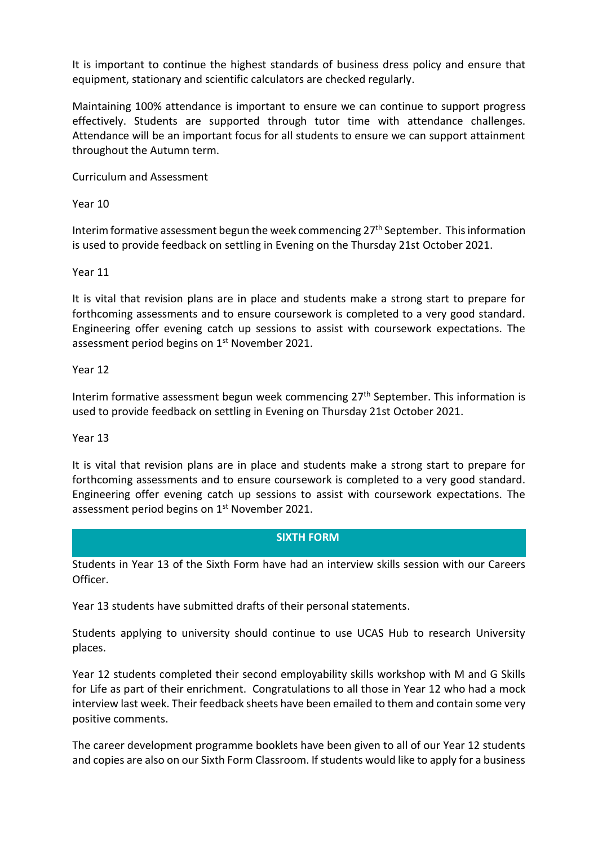It is important to continue the highest standards of business dress policy and ensure that equipment, stationary and scientific calculators are checked regularly.

Maintaining 100% attendance is important to ensure we can continue to support progress effectively. Students are supported through tutor time with attendance challenges. Attendance will be an important focus for all students to ensure we can support attainment throughout the Autumn term.

Curriculum and Assessment

Year 10

Interim formative assessment begun the week commencing  $27<sup>th</sup>$  September. This information is used to provide feedback on settling in Evening on the Thursday 21st October 2021.

Year 11

It is vital that revision plans are in place and students make a strong start to prepare for forthcoming assessments and to ensure coursework is completed to a very good standard. Engineering offer evening catch up sessions to assist with coursework expectations. The assessment period begins on 1<sup>st</sup> November 2021.

Year 12

Interim formative assessment begun week commencing 27<sup>th</sup> September. This information is used to provide feedback on settling in Evening on Thursday 21st October 2021.

Year 13

It is vital that revision plans are in place and students make a strong start to prepare for forthcoming assessments and to ensure coursework is completed to a very good standard. Engineering offer evening catch up sessions to assist with coursework expectations. The assessment period begins on 1<sup>st</sup> November 2021.

# **SIXTH FORM**

Students in Year 13 of the Sixth Form have had an interview skills session with our Careers Officer.

Year 13 students have submitted drafts of their personal statements.

Students applying to university should continue to use UCAS Hub to research University places.

Year 12 students completed their second employability skills workshop with M and G Skills for Life as part of their enrichment. Congratulations to all those in Year 12 who had a mock interview last week. Their feedback sheets have been emailed to them and contain some very positive comments.

The career development programme booklets have been given to all of our Year 12 students and copies are also on our Sixth Form Classroom. If students would like to apply for a business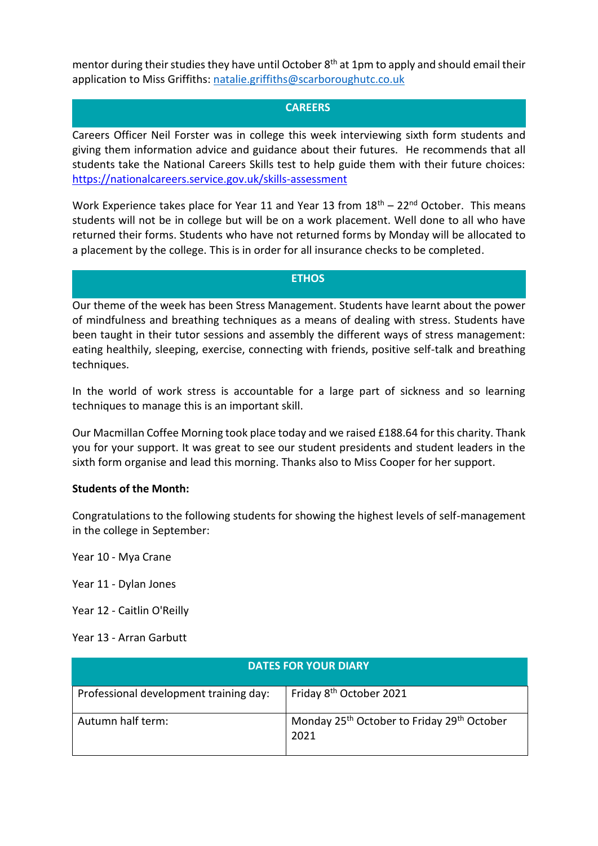mentor during their studies they have until October 8<sup>th</sup> at 1pm to apply and should email their application to Miss Griffiths: [natalie.griffiths@scarboroughutc.co.uk](mailto:natalie.griffiths@scarboroughutc.co.uk)

# **CAREERS**

Careers Officer Neil Forster was in college this week interviewing sixth form students and giving them information advice and guidance about their futures. He recommends that all students take the National Careers Skills test to help guide them with their future choices: <https://nationalcareers.service.gov.uk/skills-assessment>

Work Experience takes place for Year 11 and Year 13 from  $18<sup>th</sup> - 22<sup>nd</sup>$  October. This means students will not be in college but will be on a work placement. Well done to all who have returned their forms. Students who have not returned forms by Monday will be allocated to a placement by the college. This is in order for all insurance checks to be completed.

**ETHOS**

Our theme of the week has been Stress Management. Students have learnt about the power of mindfulness and breathing techniques as a means of dealing with stress. Students have been taught in their tutor sessions and assembly the different ways of stress management: eating healthily, sleeping, exercise, connecting with friends, positive self-talk and breathing techniques.

In the world of work stress is accountable for a large part of sickness and so learning techniques to manage this is an important skill.

Our Macmillan Coffee Morning took place today and we raised £188.64 for this charity. Thank you for your support. It was great to see our student presidents and student leaders in the sixth form organise and lead this morning. Thanks also to Miss Cooper for her support.

# **Students of the Month:**

Congratulations to the following students for showing the highest levels of self-management in the college in September:

Year 10 - Mya Crane

Year 11 - Dylan Jones

Year 12 - Caitlin O'Reilly

Year 13 - Arran Garbutt

| <b>DATES FOR YOUR DIARY</b>            |                                                                            |
|----------------------------------------|----------------------------------------------------------------------------|
| Professional development training day: | Friday 8 <sup>th</sup> October 2021                                        |
| Autumn half term:                      | Monday 25 <sup>th</sup> October to Friday 29 <sup>th</sup> October<br>2021 |